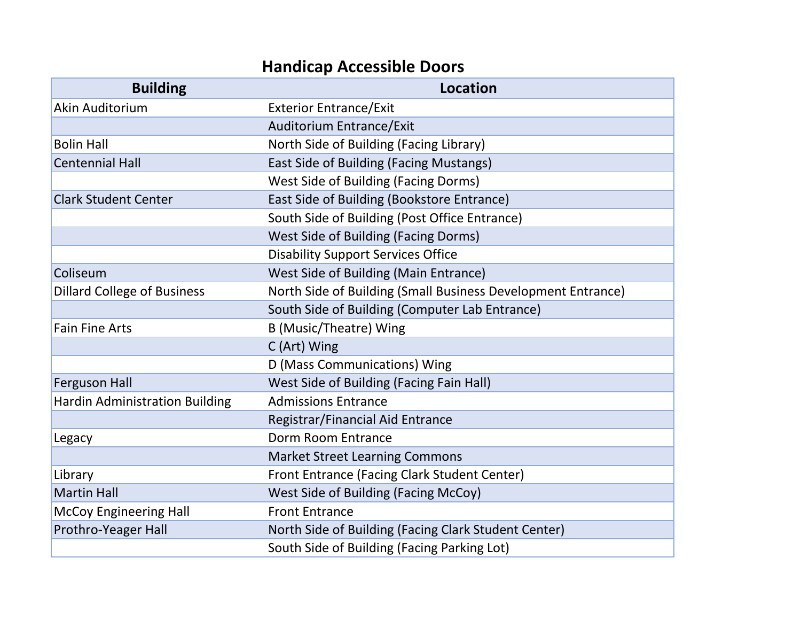## **Handicap Accessible Doors**

| <b>Building</b>                       | <b>Location</b>                                              |
|---------------------------------------|--------------------------------------------------------------|
| Akin Auditorium                       | <b>Exterior Entrance/Exit</b>                                |
|                                       | <b>Auditorium Entrance/Exit</b>                              |
| <b>Bolin Hall</b>                     | North Side of Building (Facing Library)                      |
| <b>Centennial Hall</b>                | East Side of Building (Facing Mustangs)                      |
|                                       | <b>West Side of Building (Facing Dorms)</b>                  |
| <b>Clark Student Center</b>           | East Side of Building (Bookstore Entrance)                   |
|                                       | South Side of Building (Post Office Entrance)                |
|                                       | <b>West Side of Building (Facing Dorms)</b>                  |
|                                       | <b>Disability Support Services Office</b>                    |
| Coliseum                              | West Side of Building (Main Entrance)                        |
| <b>Dillard College of Business</b>    | North Side of Building (Small Business Development Entrance) |
|                                       | South Side of Building (Computer Lab Entrance)               |
| <b>Fain Fine Arts</b>                 | B (Music/Theatre) Wing                                       |
|                                       | C (Art) Wing                                                 |
|                                       | D (Mass Communications) Wing                                 |
| <b>Ferguson Hall</b>                  | West Side of Building (Facing Fain Hall)                     |
| <b>Hardin Administration Building</b> | <b>Admissions Entrance</b>                                   |
|                                       | Registrar/Financial Aid Entrance                             |
| Legacy                                | Dorm Room Entrance                                           |
|                                       | <b>Market Street Learning Commons</b>                        |
| Library                               | Front Entrance (Facing Clark Student Center)                 |
| <b>Martin Hall</b>                    | West Side of Building (Facing McCoy)                         |
| <b>McCoy Engineering Hall</b>         | <b>Front Entrance</b>                                        |
| Prothro-Yeager Hall                   | North Side of Building (Facing Clark Student Center)         |
|                                       | South Side of Building (Facing Parking Lot)                  |